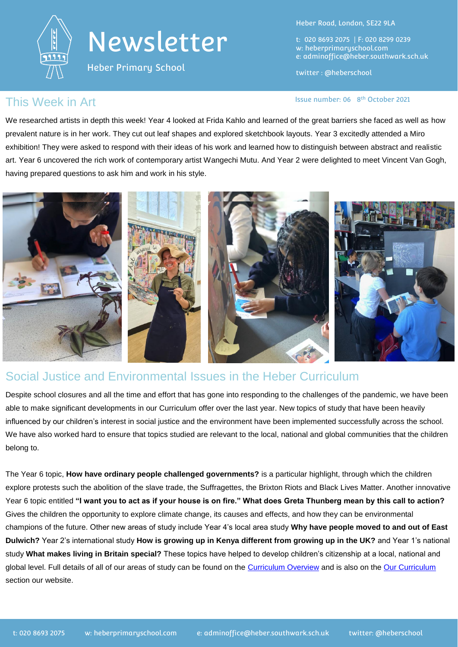

# Newsletter

Heber Primary School

Heber Road, London, SE22 9LA

t: 020 8693 2075 | F: 020 8299 0239 w: heberprimaryschool.com e: [adminoffice@heber.southwark.sch.uk](mailto:adminoffice@heber.southwark.sch.uk)

twitter : @heberschool

Issue number: 06 8<sup>th</sup> October 2021

### This Week in Art **Interpretate Contains the Contract of Containing Contract Contains a list of 8** and 15 and 15 and 15 and 15 and 15 and 15 and 15 and 15 and 15 and 15 and 15 and 15 and 15 and 15 and 15 and 15 and 15 and 1

We researched artists in depth this week! Year 4 looked at Frida Kahlo and learned of the great barriers she faced as well as how prevalent nature is in her work. They cut out leaf shapes and explored sketchbook layouts. Year 3 excitedly attended a Miro exhibition! They were asked to respond with their ideas of his work and learned how to distinguish between abstract and realistic art. Year 6 uncovered the rich work of contemporary artist Wangechi Mutu. And Year 2 were delighted to meet Vincent Van Gogh, having prepared questions to ask him and work in his style.



#### Social Justice and Environmental Issues in the Heber Curriculum

Despite school closures and all the time and effort that has gone into responding to the challenges of the pandemic, we have been able to make significant developments in our Curriculum offer over the last year. New topics of study that have been heavily influenced by our children's interest in social justice and the environment have been implemented successfully across the school. We have also worked hard to ensure that topics studied are relevant to the local, national and global communities that the children belong to.

The Year 6 topic, **How have ordinary people challenged governments?** is a particular highlight, through which the children explore protests such the abolition of the slave trade, the Suffragettes, the Brixton Riots and Black Lives Matter. Another innovative Year 6 topic entitled **"I want you to act as if your house is on fire." What does Greta Thunberg mean by this call to action?** Gives the children the opportunity to explore climate change, its causes and effects, and how they can be environmental champions of the future. Other new areas of study include Year 4's local area study **Why have people moved to and out of East Dulwich?** Year 2's international study **How is growing up in Kenya different from growing up in the UK?** and Year 1's national study **What makes living in Britain special?** These topics have helped to develop children's citizenship at a local, national and global level. Full details of all of our areas of study can be found on the [Curriculum Overview](https://drive.google.com/file/d/1R5ijhweSfAvHN6CCfOHBLWH1CDcuKC0p/view?usp=sharing) and is also on the [Our Curriculum](https://www.heberprimaryschool.com/learning/curriculum-presentations/) section our website.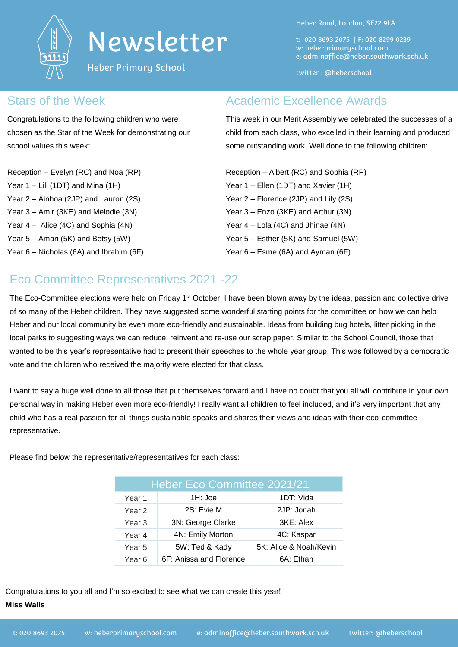

# Newsletter

Heber Primary School

Heber Road, London, SE22 9LA

t: 020 8693 2075 | F: 020 8299 0239 w: heberprimaryschool.com e: [adminoffice@heber.southwark.sch.uk](mailto:adminoffice@heber.southwark.sch.uk)

twitter : @heberschool

#### Stars of the Week

Congratulations to the following children who were chosen as the Star of the Week for demonstrating our school values this week:

Reception – Evelyn (RC) and Noa (RP) Year 1 – Lili (1DT) and Mina (1H) Year 2 – Ainhoa (2JP) and Lauron (2S) Year 3 – Amir (3KE) and Melodie (3N) Year 4 – Alice (4C) and Sophia (4N) Year 5 – Amari (5K) and Betsy (5W)

Year 6 – Nicholas (6A) and Ibrahim (6F)

### Academic Excellence Awards

This week in our Merit Assembly we celebrated the successes of a child from each class, who excelled in their learning and produced some outstanding work. Well done to the following children:

Reception – Albert (RC) and Sophia (RP) Year 1 – Ellen (1DT) and Xavier (1H) Year 2 – Florence (2JP) and Lily (2S) Year 3 – Enzo (3KE) and Arthur (3N) Year 4 – Lola (4C) and Jhinae (4N) Year 5 – Esther (5K) and Samuel (5W) Year 6 – Esme (6A) and Ayman (6F)

# Eco Committee Representatives 2021 -22

The Eco-Committee elections were held on Friday 1<sup>st</sup> October. I have been blown away by the ideas, passion and collective drive of so many of the Heber children. They have suggested some wonderful starting points for the committee on how we can help Heber and our local community be even more eco-friendly and sustainable. Ideas from building bug hotels, litter picking in the local parks to suggesting ways we can reduce, reinvent and re-use our scrap paper. Similar to the School Council, those that wanted to be this year's representative had to present their speeches to the whole year group. This was followed by a democratic vote and the children who received the majority were elected for that class.

I want to say a huge well done to all those that put themselves forward and I have no doubt that you all will contribute in your own personal way in making Heber even more eco-friendly! I really want all children to feel included, and it's very important that any child who has a real passion for all things sustainable speaks and shares their views and ideas with their eco-committee representative.

Please find below the representative/representatives for each class:

| Heber Eco Committee 2021/21 |                         |                        |
|-----------------------------|-------------------------|------------------------|
| Year 1                      | 1H: Joe                 | 1DT: Vida              |
| Year <sub>2</sub>           | 2S: Evie M              | 2JP: Jonah             |
| Year <sub>3</sub>           | 3N: George Clarke       | 3KE: Alex              |
| Year 4                      | 4N: Emily Morton        | 4C: Kaspar             |
| Year <sub>5</sub>           | 5W: Ted & Kady          | 5K: Alice & Noah/Kevin |
| Year 6                      | 6F: Anissa and Florence | 6A: Ethan              |

Congratulations to you all and I'm so excited to see what we can create this year! **Miss Walls**